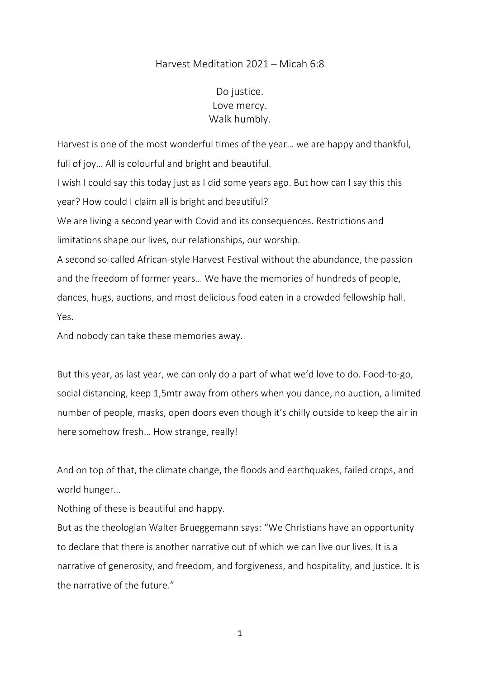## Harvest Meditation 2021 – Micah 6:8

## Do justice. Love mercy. Walk humbly.

Harvest is one of the most wonderful times of the year… we are happy and thankful, full of joy… All is colourful and bright and beautiful. I wish I could say this today just as I did some years ago. But how can I say this this year? How could I claim all is bright and beautiful? We are living a second year with Covid and its consequences. Restrictions and limitations shape our lives, our relationships, our worship. A second so-called African-style Harvest Festival without the abundance, the passion and the freedom of former years… We have the memories of hundreds of people,

dances, hugs, auctions, and most delicious food eaten in a crowded fellowship hall. Yes.

And nobody can take these memories away.

But this year, as last year, we can only do a part of what we'd love to do. Food-to-go, social distancing, keep 1,5mtr away from others when you dance, no auction, a limited number of people, masks, open doors even though it's chilly outside to keep the air in here somehow fresh… How strange, really!

And on top of that, the climate change, the floods and earthquakes, failed crops, and world hunger…

Nothing of these is beautiful and happy.

But as the theologian Walter Brueggemann says: "We Christians have an opportunity to declare that there is another narrative out of which we can live our lives. It is a narrative of generosity, and freedom, and forgiveness, and hospitality, and justice. It is the narrative of the future."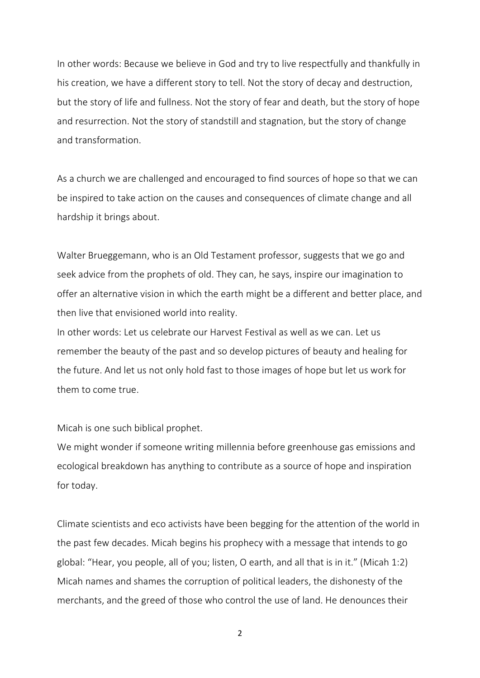In other words: Because we believe in God and try to live respectfully and thankfully in his creation, we have a different story to tell. Not the story of decay and destruction, but the story of life and fullness. Not the story of fear and death, but the story of hope and resurrection. Not the story of standstill and stagnation, but the story of change and transformation.

As a church we are challenged and encouraged to find sources of hope so that we can be inspired to take action on the causes and consequences of climate change and all hardship it brings about.

Walter Brueggemann, who is an Old Testament professor, suggests that we go and seek advice from the prophets of old. They can, he says, inspire our imagination to offer an alternative vision in which the earth might be a different and better place, and then live that envisioned world into reality.

In other words: Let us celebrate our Harvest Festival as well as we can. Let us remember the beauty of the past and so develop pictures of beauty and healing for the future. And let us not only hold fast to those images of hope but let us work for them to come true.

Micah is one such biblical prophet.

We might wonder if someone writing millennia before greenhouse gas emissions and ecological breakdown has anything to contribute as a source of hope and inspiration for today.

Climate scientists and eco activists have been begging for the attention of the world in the past few decades. Micah begins his prophecy with a message that intends to go global: "Hear, you people, all of you; listen, O earth, and all that is in it." (Micah 1:2) Micah names and shames the corruption of political leaders, the dishonesty of the merchants, and the greed of those who control the use of land. He denounces their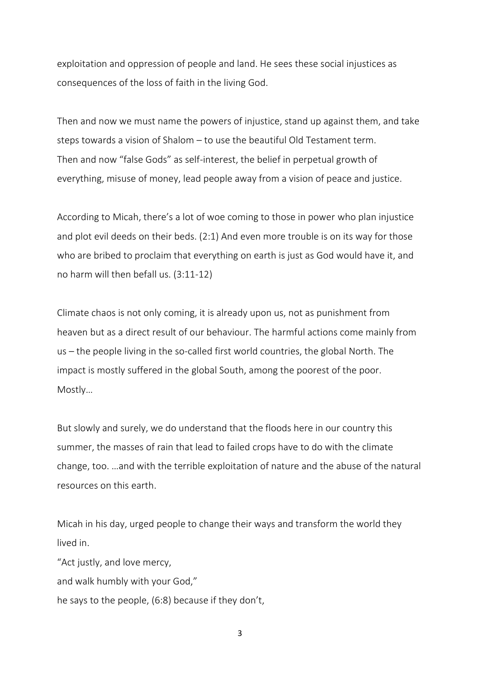exploitation and oppression of people and land. He sees these social injustices as consequences of the loss of faith in the living God.

Then and now we must name the powers of injustice, stand up against them, and take steps towards a vision of Shalom – to use the beautiful Old Testament term. Then and now "false Gods" as self-interest, the belief in perpetual growth of everything, misuse of money, lead people away from a vision of peace and justice.

According to Micah, there's a lot of woe coming to those in power who plan injustice and plot evil deeds on their beds. (2:1) And even more trouble is on its way for those who are bribed to proclaim that everything on earth is just as God would have it, and no harm will then befall us. (3:11-12)

Climate chaos is not only coming, it is already upon us, not as punishment from heaven but as a direct result of our behaviour. The harmful actions come mainly from us – the people living in the so-called first world countries, the global North. The impact is mostly suffered in the global South, among the poorest of the poor. Mostly…

But slowly and surely, we do understand that the floods here in our country this summer, the masses of rain that lead to failed crops have to do with the climate change, too. …and with the terrible exploitation of nature and the abuse of the natural resources on this earth.

Micah in his day, urged people to change their ways and transform the world they lived in.

"Act justly, and love mercy, and walk humbly with your God," he says to the people, (6:8) because if they don't,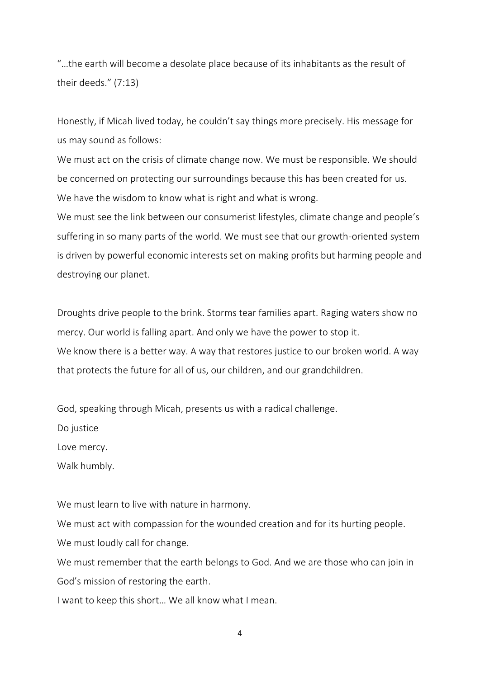"…the earth will become a desolate place because of its inhabitants as the result of their deeds." (7:13)

Honestly, if Micah lived today, he couldn't say things more precisely. His message for us may sound as follows:

We must act on the crisis of climate change now. We must be responsible. We should be concerned on protecting our surroundings because this has been created for us. We have the wisdom to know what is right and what is wrong.

We must see the link between our consumerist lifestyles, climate change and people's suffering in so many parts of the world. We must see that our growth-oriented system is driven by powerful economic interests set on making profits but harming people and destroying our planet.

Droughts drive people to the brink. Storms tear families apart. Raging waters show no mercy. Our world is falling apart. And only we have the power to stop it. We know there is a better way. A way that restores justice to our broken world. A way that protects the future for all of us, our children, and our grandchildren.

God, speaking through Micah, presents us with a radical challenge.

Do justice

Love mercy.

Walk humbly.

We must learn to live with nature in harmony.

We must act with compassion for the wounded creation and for its hurting people. We must loudly call for change.

We must remember that the earth belongs to God. And we are those who can join in God's mission of restoring the earth.

I want to keep this short… We all know what I mean.